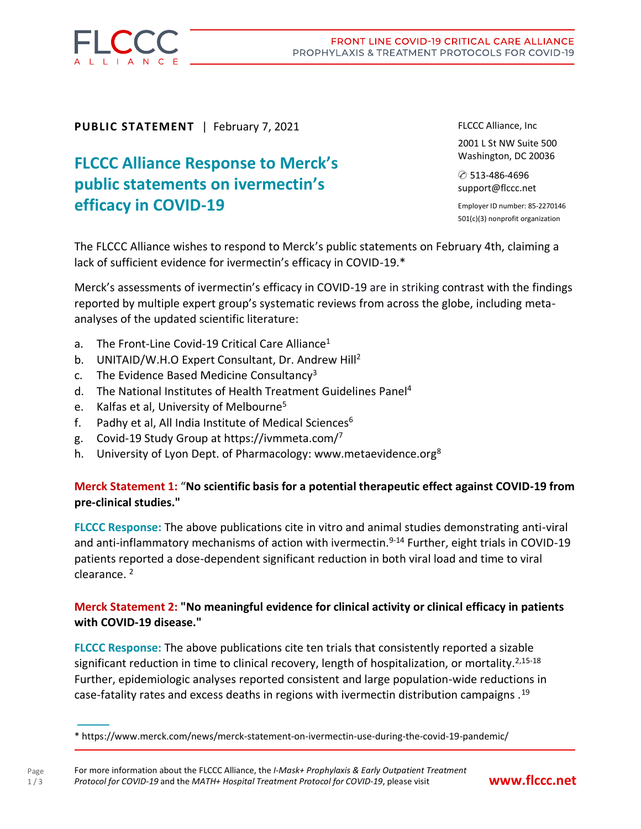

**PUBLIC STATEMENT** | February 7, 2021

# **FLCCC Alliance Response to Merck's public statements on ivermectin's efficacy** in **COVID-19**

FLCCC Alliance, Inc

2001 L St NW Suite 500 Washington, DC 20036

✆ 513-486-4696 support@flccc.net

Employer ID number: 85-2270146 501(c)(3) nonprofit organization

The FLCCC Alliance wishes to respond to Merck's public statements on February 4th, claiming a lack of sufficient evidence for ivermectin's efficacy in COVID-19.\*

Merck's assessments of ivermectin's efficacy in COVID-19 are in striking contrast with the findings reported by multiple expert group's systematic reviews from across the globe, including metaanalyses of the updated scientific literature:

- a. The Front-Line Covid-19 Critical Care Alliance<sup>1</sup>
- b. UNITAID/W.H.O Expert Consultant, Dr. Andrew Hill<sup>2</sup>
- c. The Evidence Based Medicine Consultancy<sup>3</sup>
- d. The National Institutes of Health Treatment Guidelines Panel<sup>4</sup>
- e. Kalfas et al, University of Melbourne<sup>5</sup>
- f. Padhy et al, All India Institute of Medical Sciences $6$
- g. Covid-19 Study Group at <https://ivmmeta.com/><sup>7</sup>
- h. University of Lyon Dept. of Pharmacology: [www.metaevidence.org](file://///Volumes/WORK2/FLCCC%202021/flccc%20from%202021-01-01%20!!!/PRESS%20RELEASES%20–%20FLCCC/flccc%20RESPONSE%20to%20MERCK/*%20https:/www.merck.com/news/merck-statement-on-ivermectin-use-during-the-covid-19-pandemic)<sup>8</sup>

# **Merck Statement 1:** "**No scientific basis for a potential therapeutic effect against COVID-19 from pre-clinical studies."**

**FLCCC Response:** The above publications cite in vitro and animal studies demonstrating anti-viral and anti-inflammatory mechanisms of action with ivermectin.<sup>9-14</sup> Further, eight trials in COVID-19 patients reported a dose-dependent significant reduction in both viral load and time to viral clearance. <sup>2</sup>

# **Merck Statement 2: "No meaningful evidence for clinical activity or clinical efficacy in patients with COVID-19 disease."**

**FLCCC Response:** The above publications cite ten trials that consistently reported a sizable significant reduction in time to clinical recovery, length of hospitalization, or mortality.<sup>2,15-18</sup> Further, epidemiologic analyses reported consistent and large population-wide reductions in case-fatality rates and excess deaths in regions with ivermectin distribution campaigns .<sup>19</sup>

**<sup>—</sup>** \* https://www.merck.com/news/merck-statement-on-ivermectin-use-during-the-covid-19-pandemic/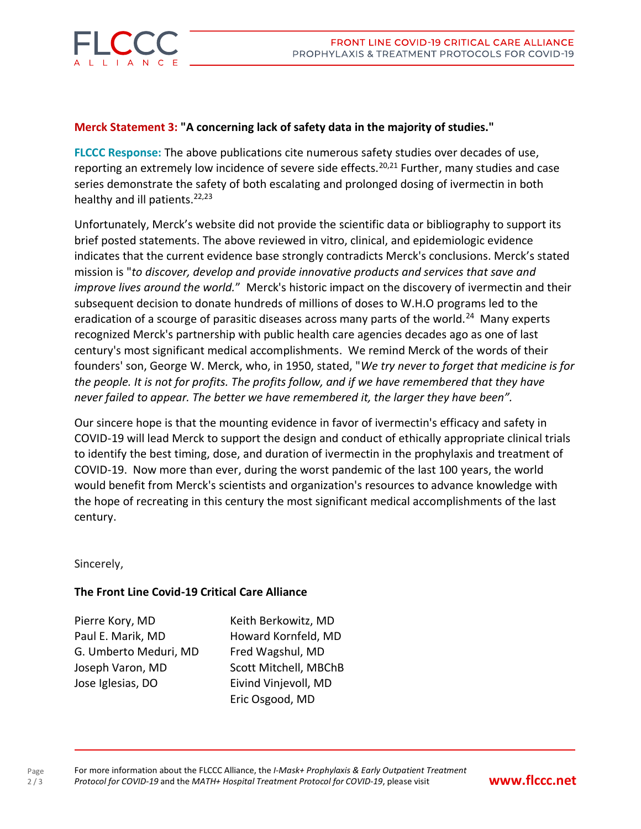

### **Merck Statement 3: "A concerning lack of safety data in the majority of studies."**

**FLCCC Response:** The above publications cite numerous safety studies over decades of use, reporting an extremely low incidence of severe side effects.<sup>20,21</sup> Further, many studies and case series demonstrate the safety of both escalating and prolonged dosing of ivermectin in both healthy and ill patients. $22,23$ 

Unfortunately, Merck's website did not provide the scientific data or bibliography to support its brief posted statements. The above reviewed in vitro, clinical, and epidemiologic evidence indicates that the current evidence base strongly contradicts Merck's conclusions. Merck's stated mission is "*to discover, develop and provide innovative products and services that save and improve lives around the world.*" Merck's historic impact on the discovery of ivermectin and their subsequent decision to donate hundreds of millions of doses to W.H.O programs led to the eradication of a scourge of parasitic diseases across many parts of the world.<sup>24</sup> Many experts recognized Merck's partnership with public health care agencies decades ago as one of last century's most significant medical accomplishments. We remind Merck of the words of their founders' son, George W. Merck, who, in 1950, stated, "*We try never to forget that medicine is for the people. It is not for profits. The profits follow, and if we have remembered that they have never failed to appear. The better we have remembered it, the larger they have been".*

Our sincere hope is that the mounting evidence in favor of ivermectin's efficacy and safety in COVID-19 will lead Merck to support the design and conduct of ethically appropriate clinical trials to identify the best timing, dose, and duration of ivermectin in the prophylaxis and treatment of COVID-19. Now more than ever, during the worst pandemic of the last 100 years, the world would benefit from Merck's scientists and organization's resources to advance knowledge with the hope of recreating in this century the most significant medical accomplishments of the last century.

Sincerely,

Page  $2/3$ 

#### **The Front Line Covid-19 Critical Care Alliance**

Pierre Kory, MD Keith Berkowitz, MD Paul E. Marik, MD Howard Kornfeld, MD G. Umberto Meduri, MD Fred Wagshul, MD Joseph Varon, MD Scott Mitchell, MBChB Jose Iglesias, DO Eivind Vinjevoll, MD

Eric Osgood, MD